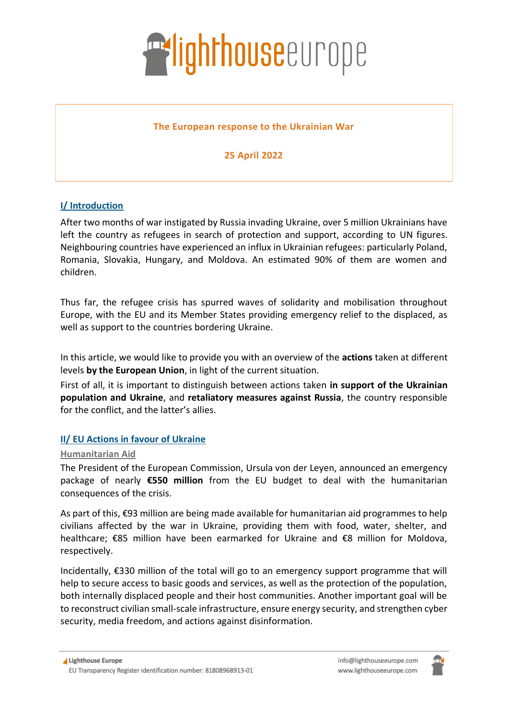

## **The European response to the Ukrainian War**

# **25 April 2022**

# **I/ Introduction**

After two months of war instigated by Russia invading Ukraine, over 5 million Ukrainians have left the country as refugees in search of protection and support, according to [UN figures.](https://data2.unhcr.org/en/situations/ukraine) Neighbouring countries have experienced an influx in Ukrainian refugees: particularly Poland, Romania, Slovakia, Hungary, and Moldova. An estimated 90% of them are women and children.

Thus far, the refugee crisis has spurred waves of solidarity and mobilisation throughout Europe, with the EU and its Member States providing emergency relief to the displaced, as well as support to the countries bordering Ukraine.

In this article, we would like to provide you with an overview of the **actions** taken at different levels **by the European Union**, in light of the current situation.

First of all, it is important to distinguish between actions taken **in support of the Ukrainian population and Ukraine**, and **retaliatory measures against Russia**, the country responsible for the conflict, and the latter's allies.

## **II/ EU Actions in favour of Ukraine**

#### **Humanitarian Aid**

The President of the European Commission, Ursula von der Leyen, announced an emergency package of nearly **€550 million** from the EU budget to deal with the humanitarian consequences of the crisis.

As part of this, €93 million are being made available for humanitarian aid programmes to help civilians affected by the war in Ukraine, providing them with food, water, shelter, and healthcare; €85 million have been earmarked for Ukraine and €8 million for Moldova, respectively.

Incidentally, €330 million of the total will go to an emergency support programme that will help to secure access to basic goods and services, as well as the protection of the population, both internally displaced people and their host communities. Another important goal will be to reconstruct civilian small-scale infrastructure, ensure energy security, and strengthen cyber security, media freedom, and actions against disinformation.

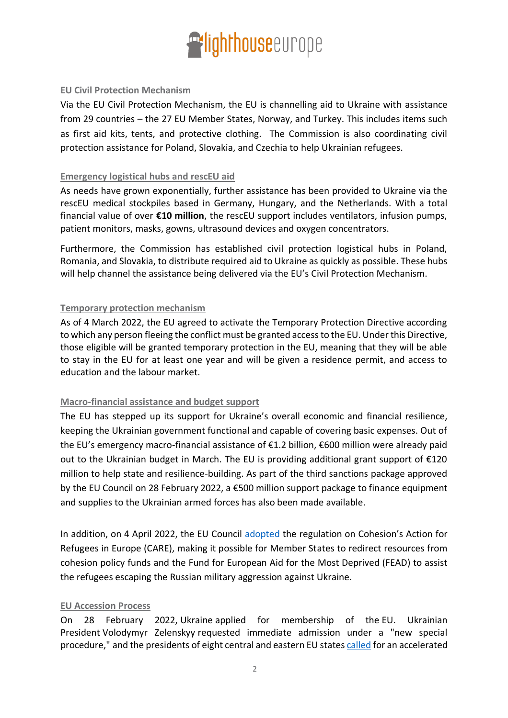

## **EU Civil Protection Mechanism**

Via the EU Civil Protection Mechanism, the EU is channelling aid to Ukraine with assistance from 29 countries – the 27 EU Member States, Norway, and Turkey. This includes items such as first aid kits, tents, and protective clothing. The Commission is also coordinating civil protection assistance for Poland, Slovakia, and Czechia to help Ukrainian refugees.

#### **Emergency logistical hubs and rescEU aid**

As needs have grown exponentially, further assistance has been provided to Ukraine via the [rescEU](https://ec.europa.eu/echo/what/civil-protection/resceu_en) medical stockpiles based in Germany, Hungary, and the Netherlands. With a total financial value of over **€10 million**, the rescEU support includes ventilators, infusion pumps, patient monitors, masks, gowns, ultrasound devices and oxygen concentrators.

Furthermore, the Commission has established civil protection logistical hubs in Poland, Romania, and Slovakia, to distribute required aid to Ukraine as quickly as possible. These hubs will help channel the assistance being delivered via the EU's Civil Protection Mechanism.

## **Temporary protection mechanism**

As of 4 March 2022, the EU agreed to activate the Temporary Protection Directive according to which any person fleeing the conflict must be granted access to the EU. Under this Directive, those eligible will be granted temporary protection in the EU, meaning that they will be able to stay in the EU for at least one year and will be given a residence permit, and access to education and the labour market.

#### **Macro-financial assistance and budget support**

The EU has stepped up its support for Ukraine's overall economic and financial resilience, keeping the Ukrainian government functional and capable of covering basic expenses. Out of the EU's emergency macro-financial assistance of €1.2 billion, €600 million were already paid out to the Ukrainian budget in March. The EU is providing additional grant support of €120 million to help state and resilience-building. As part of the third sanctions package approved by the EU Council on 28 February 2022, a €500 million support package to finance equipment and supplies to the Ukrainian armed forces has also been made available.

In addition, on 4 April 2022, the EU Council [adopted](https://www.consilium.europa.eu/en/press/press-releases/2022/04/04/ukraine-council-unlocks-17-billion-of-eu-funds-to-help-refugees/) the regulation on Cohesion's Action for Refugees in Europe (CARE), making it possible for Member States to redirect resources from cohesion policy funds and the Fund for European Aid for the Most Deprived (FEAD) to assist the refugees escaping the Russian military aggression against Ukraine.

#### **EU Accession Process**

On 28 February 2022, Ukraine applied for membership of the EU. Ukrainian President Volodymyr Zelenskyy requested immediate admission under a "new special procedure," and the presidents of eight central and eastern EU states [called](https://www.president.pl/news/open-letter-by-presidents-in-support-of-ukraines-swift-candidacy-to-the-european-union,49584) for an accelerated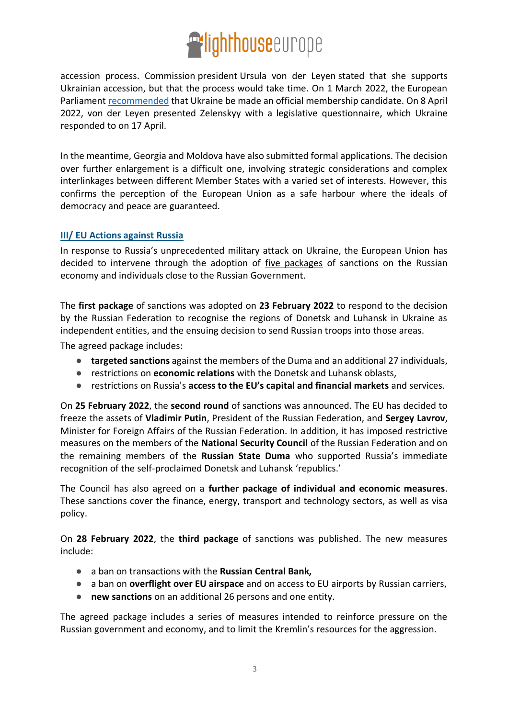

accession process. Commission [president](https://en.wikipedia.org/wiki/President_of_the_European_Commission) Ursula von der Leyen stated that she supports Ukrainian accession, but that the process would take time. On 1 March 2022, the European Parliament [recommended](https://www.europarl.europa.eu/doceo/document/TA-9-2022-0052_EN.html) that Ukraine be made an official membership candidate. On 8 April 2022, von der Leyen presented Zelenskyy with a legislative questionnaire, which Ukraine responded to on 17 April.

In the meantime, Georgia and Moldova have also submitted formal applications. The decision over further enlargement is a difficult one, involving strategic considerations and complex interlinkages between different Member States with a varied set of interests. However, this confirms the perception of the European Union as a safe harbour where the ideals of democracy and peace are guaranteed.

## **III/ EU Actions against Russia**

In response to Russia's unprecedented military attack on Ukraine, the European Union has decided to intervene through the adoption of *five packages* of sanctions on the Russian economy and individuals close to the Russian Government.

The **first package** of sanctions was adopted on **23 February 2022** to respond to the decision by the Russian Federation to recognise the regions of Donetsk and Luhansk in Ukraine as independent entities, and the ensuing decision to send Russian troops into those areas.

The agreed package includes:

- **targeted sanctions** against the members of the Duma and an additional 27 individuals,
- restrictions on **economic relations** with the Donetsk and Luhansk oblasts,
- restrictions on Russia's **access to the EU's capital and financial markets** and services.

On **25 February 2022**, the **second round** of sanctions was announced. The EU has decided to freeze the assets of **Vladimir Putin**, President of the Russian Federation, and **Sergey Lavrov**, Minister for Foreign Affairs of the Russian Federation. In addition, it has imposed restrictive measures on the members of the **National Security Council** of the Russian Federation and on the remaining members of the **Russian State Duma** who supported Russia's immediate recognition of the self-proclaimed Donetsk and Luhansk 'republics.'

The Council has also agreed on a **further package of individual and economic measures**. These sanctions cover the finance, energy, transport and technology sectors, as well as visa policy.

On **28 February 2022**, the **third package** of sanctions was published. The new measures include:

- a ban on transactions with the **Russian Central Bank,**
- a ban on **overflight over EU airspace** and on access to EU airports by Russian carriers,
- **new sanctions** on an additional 26 persons and one entity.

The agreed package includes a series of measures intended to reinforce pressure on the Russian government and economy, and to limit the Kremlin's resources for the aggression.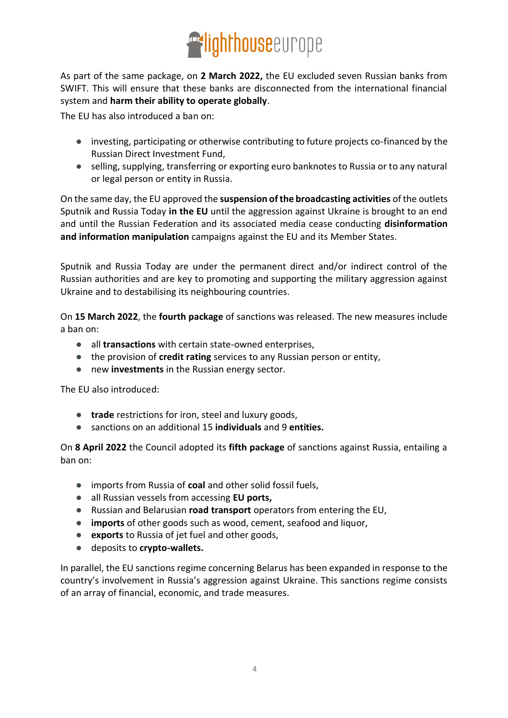

As part of the same package, on **2 March 2022,** the EU excluded seven Russian banks from SWIFT. This will ensure that these banks are disconnected from the international financial system and **harm their ability to operate globally**.

The EU has also introduced a ban on:

- investing, participating or otherwise contributing to future projects co-financed by the Russian Direct Investment Fund,
- selling, supplying, transferring or exporting euro banknotes to Russia or to any natural or legal person or entity in Russia.

On the same day, the EU approved the **suspension of the broadcasting activities** of the outlets Sputnik and Russia Today **in the EU** until the aggression against Ukraine is brought to an end and until the Russian Federation and its associated media cease conducting **disinformation and information manipulation** campaigns against the EU and its Member States.

Sputnik and Russia Today are under the permanent direct and/or indirect control of the Russian authorities and are key to promoting and supporting the military aggression against Ukraine and to destabilising its neighbouring countries.

On **15 March 2022**, the **fourth package** of sanctions was released. The new measures include a ban on:

- all **transactions** with certain state-owned enterprises,
- the provision of **credit rating** services to any Russian person or entity,
- new **investments** in the Russian energy sector.

The EU also introduced:

- **trade** restrictions for iron, steel and luxury goods,
- sanctions on an additional 15 **individuals** and 9 **entities.**

On **8 April 2022** the Council adopted its **fifth package** of sanctions against Russia, entailing a ban on:

- imports from Russia of **coal** and other solid fossil fuels,
- all Russian vessels from accessing **EU ports,**
- Russian and Belarusian **road transport** operators from entering the EU,
- **imports** of other goods such as wood, cement, seafood and liquor,
- **exports** to Russia of jet fuel and other goods,
- deposits to **crypto-wallets.**

In parallel, the EU sanctions regime concerning Belarus has been expanded in response to the country's involvement in Russia's aggression against Ukraine. This sanctions regime consists of an array of financial, economic, and trade measures.